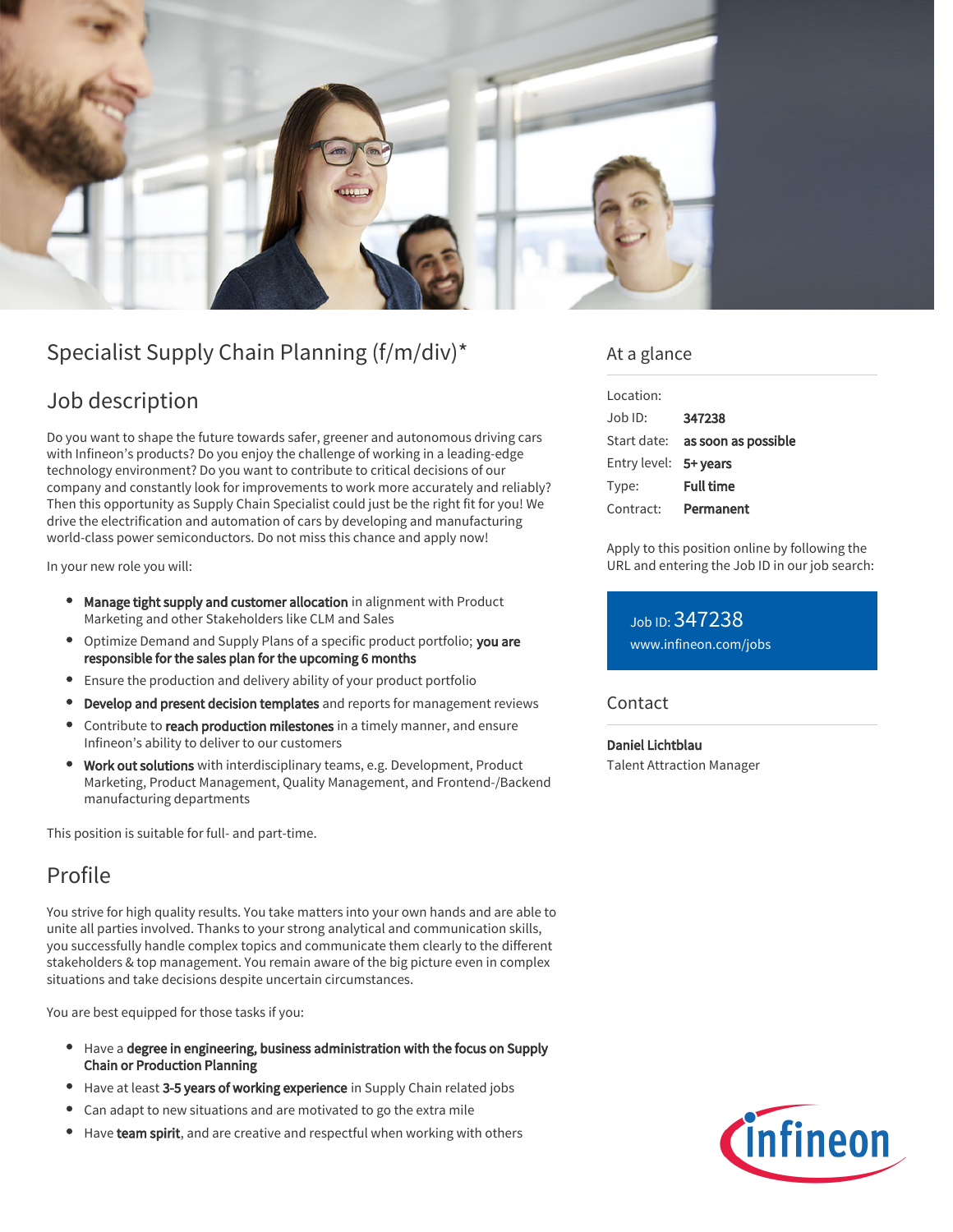

# Specialist Supply Chain Planning (f/m/div)\*

## Job description

Do you want to shape the future towards safer, greener and autonomous driving cars with Infineon's products? Do you enjoy the challenge of working in a leading-edge technology environment? Do you want to contribute to critical decisions of our company and constantly look for improvements to work more accurately and reliably? Then this opportunity as Supply Chain Specialist could just be the right fit for you! We drive the electrification and automation of cars by developing and manufacturing world-class power semiconductors. Do not miss this chance and apply now!

In your new role you will:

- Manage tight supply and customer allocation in alignment with Product Marketing and other Stakeholders like CLM and Sales
- Optimize Demand and Supply Plans of a specific product portfolio; you are responsible for the sales plan for the upcoming 6 months
- Ensure the production and delivery ability of your product portfolio
- Develop and present decision templates and reports for management reviews
- Contribute to reach production milestones in a timely manner, and ensure Infineon's ability to deliver to our customers
- Work out solutions with interdisciplinary teams, e.g. Development, Product Marketing, Product Management, Quality Management, and Frontend-/Backend manufacturing departments

This position is suitable for full- and part-time.

## Profile

You strive for high quality results. You take matters into your own hands and are able to unite all parties involved. Thanks to your strong analytical and communication skills, you successfully handle complex topics and communicate them clearly to the different stakeholders & top management. You remain aware of the big picture even in complex situations and take decisions despite uncertain circumstances.

You are best equipped for those tasks if you:

- Have a degree in engineering, business administration with the focus on Supply Chain or Production Planning
- Have at least 3-5 years of working experience in Supply Chain related jobs
- Can adapt to new situations and are motivated to go the extra mile
- Have team spirit, and are creative and respectful when working with others

### At a glance

| Location:             |                                        |
|-----------------------|----------------------------------------|
| Job ID:               | 347238                                 |
|                       | Start date: <b>as soon as possible</b> |
| Entry level: 5+ years |                                        |
| Type:                 | <b>Full time</b>                       |
| Contract:             | Permanent                              |

Apply to this position online by following the URL and entering the Job ID in our job search:

Job ID: 347238 [www.infineon.com/jobs](https://www.infineon.com/jobs)

#### **Contact**

Daniel Lichtblau Talent Attraction Manager